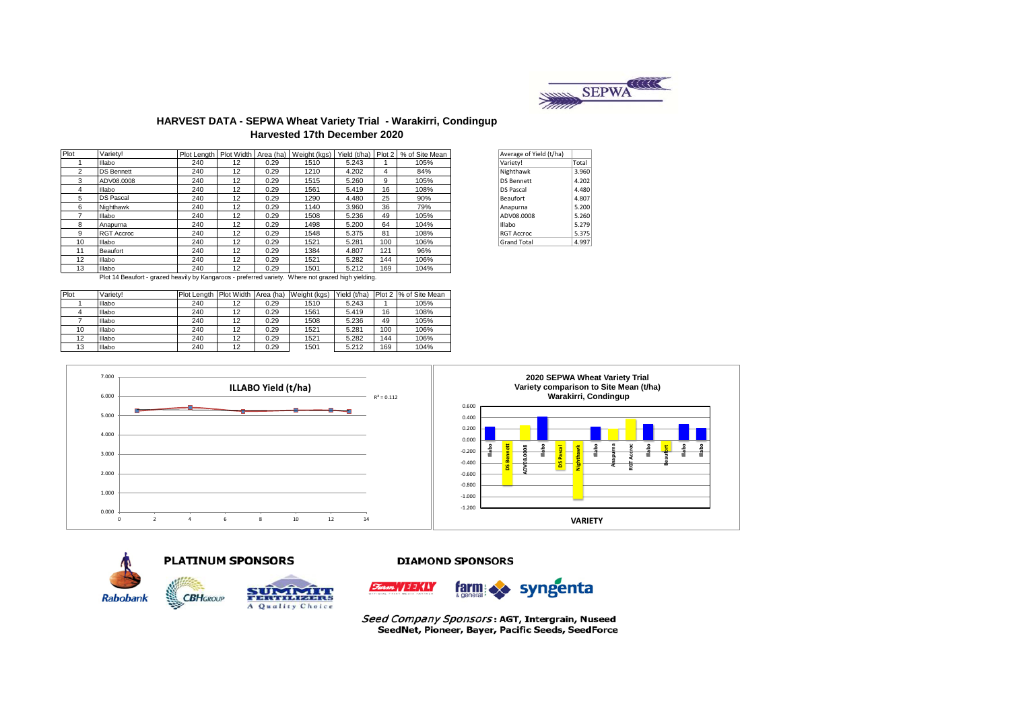

### **HARVEST DATA - SEPWA Wheat Variety Trial - Warakirri, Condingup Harvested 17th December 2020**

| Plot | Variety!          |     |    |      | Plot Length   Plot Width   Area (ha)   Weight (kgs) | Yield (t/ha) Plot 2 |     | % of Site Mean | Average of Yield (t/ha) |       |
|------|-------------------|-----|----|------|-----------------------------------------------------|---------------------|-----|----------------|-------------------------|-------|
|      | Illabo            | 240 | 12 | 0.29 | 1510                                                | 5.243               |     | 105%           | Variety!                | Total |
| 2    | <b>DS Bennett</b> | 240 | 12 | 0.29 | 1210                                                | 4.202               | 4   | 84%            | Nighthawk               | 3.960 |
| 3    | ADV08.0008        | 240 | 12 | 0.29 | 1515                                                | 5.260               | 9   | 105%           | <b>DS Bennett</b>       | 4.202 |
| 4    | Illabo            | 240 | 12 | 0.29 | 1561                                                | 5.419               | 16  | 108%           | <b>DS Pascal</b>        | 4.480 |
| 5    | <b>DS Pascal</b>  | 240 | 12 | 0.29 | 1290                                                | 4.480               | 25  | 90%            | Beaufort                | 4.807 |
| 6    | Nighthawk         | 240 | 12 | 0.29 | 1140                                                | 3.960               | 36  | 79%            | Anapurna                | 5.200 |
|      | Illabo            | 240 | 12 | 0.29 | 1508                                                | 5.236               | 49  | 105%           | ADV08.0008              | 5.260 |
| 8    | Anapurna          | 240 | 12 | 0.29 | 1498                                                | 5.200               | 64  | 104%           | Illabo                  | 5.279 |
| 9    | <b>RGT Accroc</b> | 240 | 12 | 0.29 | 1548                                                | 5.375               | 81  | 108%           | <b>RGT Accroc</b>       | 5.375 |
| 10   | Illabo            | 240 | 12 | 0.29 | 1521                                                | 5.281               | 100 | 106%           | <b>Grand Total</b>      | 4.997 |
| 11   | Beaufort          | 240 | 12 | 0.29 | 1384                                                | 4.807               | 121 | 96%            |                         |       |
| 12   | Illabo            | 240 | 12 | 0.29 | 1521                                                | 5.282               | 144 | 106%           |                         |       |
| 13   | Illabo            | 240 | 12 | 0.29 | 1501                                                | 5.212               | 169 | 104%           |                         |       |

| Average of Yield (t/ha) |       |
|-------------------------|-------|
| Variety!                | Total |
| Nighthawk               | 3.960 |
| <b>DS Bennett</b>       | 4.202 |
| <b>DS Pascal</b>        | 4.480 |
| Beaufort                | 4.807 |
| Anapurna                | 5.200 |
| ADV08.0008              | 5.260 |
| Illabo                  | 5.279 |
| <b>RGT Accroc</b>       | 5.375 |
| <b>Grand Total</b>      | 4.997 |

Plot 14 Beaufort - grazed heavily by Kangaroos - preferred variety. Where not grazed high yielding.

| Plot | Variety! | Plot Lenath | <b>Plot Width</b> | Area (ha) | Weight (kgs) | Yield (t/ha) | Plot 2 | % of Site Mean |
|------|----------|-------------|-------------------|-----------|--------------|--------------|--------|----------------|
|      | Illabo   | 240         | 12                | 0.29      | 1510         | 5.243        |        | 105%           |
|      | Illabo   | 240         | 12                | 0.29      | 1561         | 5.419        | 16     | 108%           |
|      | Illabo   | 240         | 12                | 0.29      | 1508         | 5.236        | 49     | 105%           |
| 10   | Illabo   | 240         | 12                | 0.29      | 1521         | 5.281        | 100    | 106%           |
| 12   | Illabo   | 240         | 12                | 0.29      | 1521         | 5.282        | 144    | 106%           |
| 13   | Illabo   | 240         | 12                | 0.29      | 1501         | 5.212        | 169    | 104%           |







#### **DIAMOND SPONSORS**



Seed Company Sponsors: AGT, Intergrain, Nuseed SeedNet, Pioneer, Bayer, Pacific Seeds, SeedForce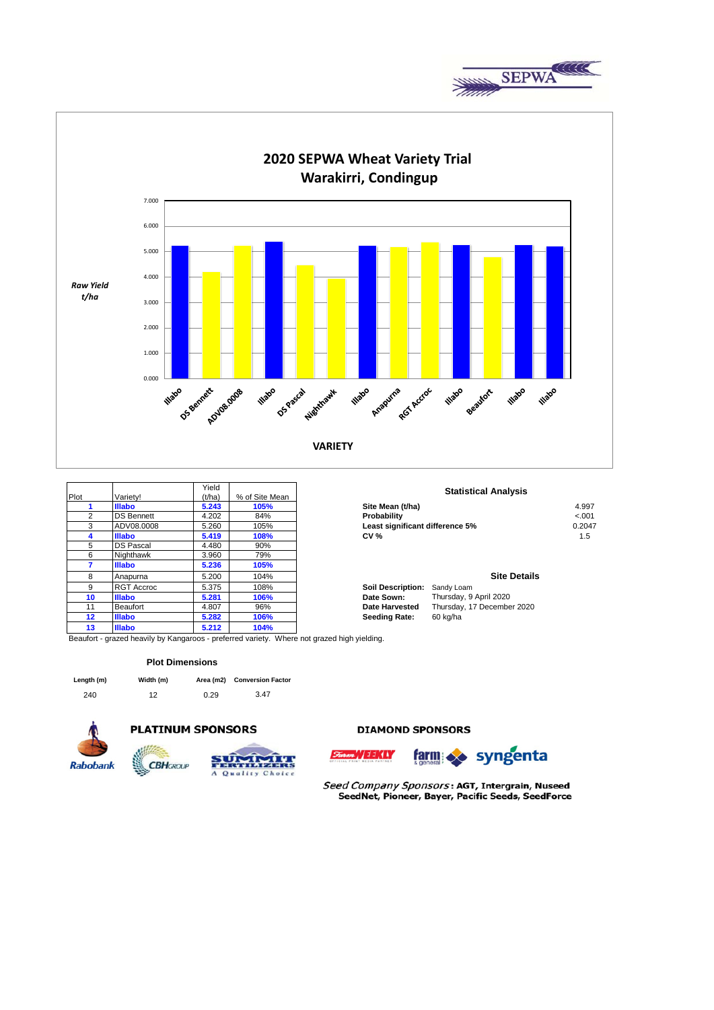



|      |                   | Yield  |                | <b>Statist</b>                         |
|------|-------------------|--------|----------------|----------------------------------------|
| Plot | Varietv!          | (t/ha) | % of Site Mean |                                        |
|      | <b>Illabo</b>     | 5.243  | 105%           | Site Mean (t/ha)                       |
| 2    | <b>DS Bennett</b> | 4.202  | 84%            | Probability                            |
| 3    | ADV08.0008        | 5.260  | 105%           | Least significant difference 59        |
| 4    | <b>Illabo</b>     | 5.419  | 108%           | <b>CV %</b>                            |
| 5    | <b>DS Pascal</b>  | 4.480  | 90%            |                                        |
| 6    | Nighthawk         | 3.960  | 79%            |                                        |
| 7    | <b>Illabo</b>     | 5.236  | 105%           |                                        |
| 8    | Anapurna          | 5.200  | 104%           |                                        |
| 9    | <b>RGT Accroc</b> | 5.375  | 108%           | Sandy Loam<br><b>Soil Description:</b> |
| 10   | <b>Illabo</b>     | 5.281  | 106%           | Thursday, 9<br>Date Sown:              |
| 11   | Beaufort          | 4.807  | 96%            | Thursday, 1<br>Date Harvested          |
| 12   | <b>Illabo</b>     | 5.282  | 106%           | 60 kg/ha<br><b>Seeding Rate:</b>       |
| 13   | <b>Illabo</b>     | 5.212  | 104%           |                                        |

Beaufort - grazed heavily by Kangaroos - preferred variety. Where not grazed high yielding.

#### **Plot Dimensions**

| Length (m) | Width (m) |      | Area (m2) Conversion Factor |
|------------|-----------|------|-----------------------------|
| 240        | 12        | 0.29 | 3.47                        |



### **PLATINUM SPONSORS**



**DIAMOND SPONSORS** 





Seed Company Sponsors: AGT, Intergrain, Nuseed SeedNet, Pioneer, Bayer, Pacific Seeds, SeedForce

## **Statistical Analysis**

| <b>Illabo</b>     | 5.243 | 105% | Site Mean (t/ha)                | 4.997   |
|-------------------|-------|------|---------------------------------|---------|
| <b>DS Bennett</b> | 4.202 | 84%  | <b>Probability</b>              | $-.001$ |
| ADV08.0008        | 5.260 | 105% | Least significant difference 5% | 0.2047  |
| <b>Illabo</b>     | 5.419 | 108% | CV %                            | c. ا    |

#### **Site Details**

| Sandy Loam                 |
|----------------------------|
| Thursday, 9 April 2020     |
| Thursday, 17 December 2020 |
| 60 kg/ha                   |
|                            |